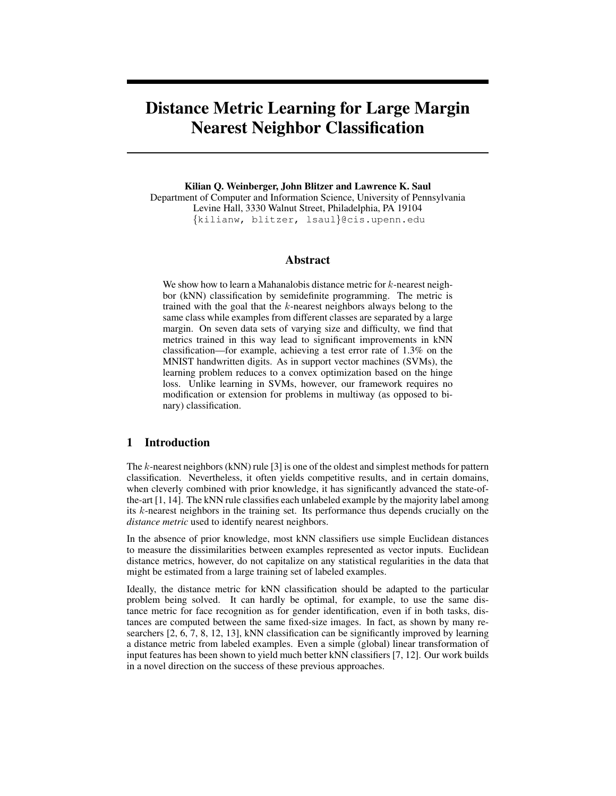# Distance Metric Learning for Large Margin Nearest Neighbor Classification

Kilian Q. Weinberger, John Blitzer and Lawrence K. Saul Department of Computer and Information Science, University of Pennsylvania Levine Hall, 3330 Walnut Street, Philadelphia, PA 19104 {kilianw, blitzer, lsaul}@cis.upenn.edu

## Abstract

We show how to learn a Mahanalobis distance metric for  $k$ -nearest neighbor (kNN) classification by semidefinite programming. The metric is trained with the goal that the k-nearest neighbors always belong to the same class while examples from different classes are separated by a large margin. On seven data sets of varying size and difficulty, we find that metrics trained in this way lead to significant improvements in kNN classification—for example, achieving a test error rate of 1.3% on the MNIST handwritten digits. As in support vector machines (SVMs), the learning problem reduces to a convex optimization based on the hinge loss. Unlike learning in SVMs, however, our framework requires no modification or extension for problems in multiway (as opposed to binary) classification.

# 1 Introduction

The  $k$ -nearest neighbors (kNN) rule [3] is one of the oldest and simplest methods for pattern classification. Nevertheless, it often yields competitive results, and in certain domains, when cleverly combined with prior knowledge, it has significantly advanced the state-ofthe-art [1, 14]. The kNN rule classifies each unlabeled example by the majority label among its k-nearest neighbors in the training set. Its performance thus depends crucially on the *distance metric* used to identify nearest neighbors.

In the absence of prior knowledge, most kNN classifiers use simple Euclidean distances to measure the dissimilarities between examples represented as vector inputs. Euclidean distance metrics, however, do not capitalize on any statistical regularities in the data that might be estimated from a large training set of labeled examples.

Ideally, the distance metric for kNN classification should be adapted to the particular problem being solved. It can hardly be optimal, for example, to use the same distance metric for face recognition as for gender identification, even if in both tasks, distances are computed between the same fixed-size images. In fact, as shown by many researchers [2, 6, 7, 8, 12, 13], kNN classification can be significantly improved by learning a distance metric from labeled examples. Even a simple (global) linear transformation of input features has been shown to yield much better kNN classifiers [7, 12]. Our work builds in a novel direction on the success of these previous approaches.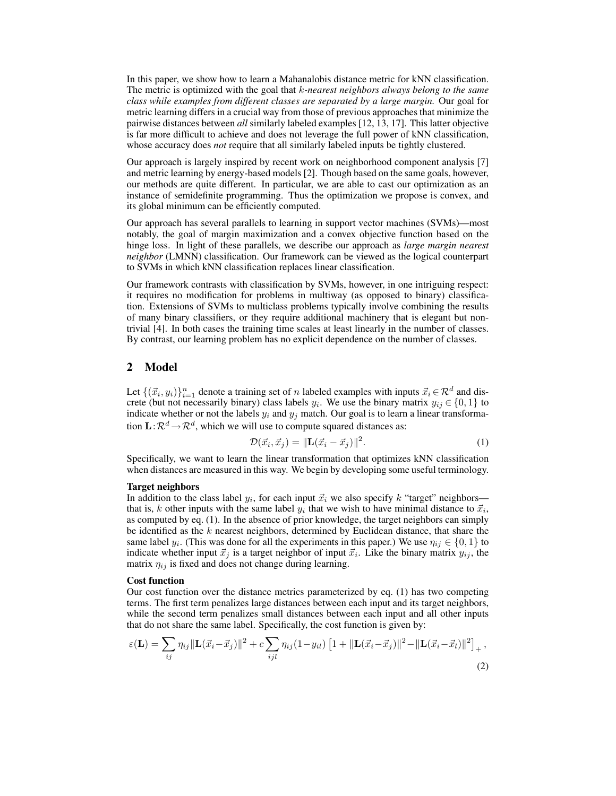In this paper, we show how to learn a Mahanalobis distance metric for kNN classification. The metric is optimized with the goal that k*-nearest neighbors always belong to the same class while examples from different classes are separated by a large margin.* Our goal for metric learning differs in a crucial way from those of previous approaches that minimize the pairwise distances between *all* similarly labeled examples [12, 13, 17]. This latter objective is far more difficult to achieve and does not leverage the full power of kNN classification, whose accuracy does *not* require that all similarly labeled inputs be tightly clustered.

Our approach is largely inspired by recent work on neighborhood component analysis [7] and metric learning by energy-based models [2]. Though based on the same goals, however, our methods are quite different. In particular, we are able to cast our optimization as an instance of semidefinite programming. Thus the optimization we propose is convex, and its global minimum can be efficiently computed.

Our approach has several parallels to learning in support vector machines (SVMs)—most notably, the goal of margin maximization and a convex objective function based on the hinge loss. In light of these parallels, we describe our approach as *large margin nearest neighbor* (LMNN) classification. Our framework can be viewed as the logical counterpart to SVMs in which kNN classification replaces linear classification.

Our framework contrasts with classification by SVMs, however, in one intriguing respect: it requires no modification for problems in multiway (as opposed to binary) classification. Extensions of SVMs to multiclass problems typically involve combining the results of many binary classifiers, or they require additional machinery that is elegant but nontrivial [4]. In both cases the training time scales at least linearly in the number of classes. By contrast, our learning problem has no explicit dependence on the number of classes.

## 2 Model

Let  $\{(\vec{x}_i, y_i)\}_{i=1}^n$  denote a training set of n labeled examples with inputs  $\vec{x}_i \in \mathcal{R}^d$  and discrete (but not necessarily binary) class labels  $y_i$ . We use the binary matrix  $y_{ij} \in \{0, 1\}$  to indicate whether or not the labels  $y_i$  and  $y_j$  match. Our goal is to learn a linear transformation  $\mathbf{L} \colon \mathcal{R}^d \to \mathcal{R}^d$ , which we will use to compute squared distances as:

$$
\mathcal{D}(\vec{x}_i, \vec{x}_j) = \|\mathbf{L}(\vec{x}_i - \vec{x}_j)\|^2. \tag{1}
$$

Specifically, we want to learn the linear transformation that optimizes kNN classification when distances are measured in this way. We begin by developing some useful terminology.

#### Target neighbors

In addition to the class label  $y_i$ , for each input  $\vec{x}_i$  we also specify k "target" neighbors that is, k other inputs with the same label  $y_i$  that we wish to have minimal distance to  $\vec{x}_i$ , as computed by eq. (1). In the absence of prior knowledge, the target neighbors can simply be identified as the  $k$  nearest neighbors, determined by Euclidean distance, that share the same label  $y_i$ . (This was done for all the experiments in this paper.) We use  $\eta_{ij} \in \{0, 1\}$  to indicate whether input  $\vec{x}_j$  is a target neighbor of input  $\vec{x}_i$ . Like the binary matrix  $y_{ij}$ , the matrix  $\eta_{ij}$  is fixed and does not change during learning.

#### Cost function

Our cost function over the distance metrics parameterized by eq. (1) has two competing terms. The first term penalizes large distances between each input and its target neighbors, while the second term penalizes small distances between each input and all other inputs that do not share the same label. Specifically, the cost function is given by:

$$
\varepsilon(\mathbf{L}) = \sum_{ij} \eta_{ij} \|\mathbf{L}(\vec{x}_i - \vec{x}_j)\|^2 + c \sum_{ijl} \eta_{ij} (1 - y_{il}) \left[1 + \|\mathbf{L}(\vec{x}_i - \vec{x}_j)\|^2 - \|\mathbf{L}(\vec{x}_i - \vec{x}_l)\|^2\right]_+,
$$
\n(2)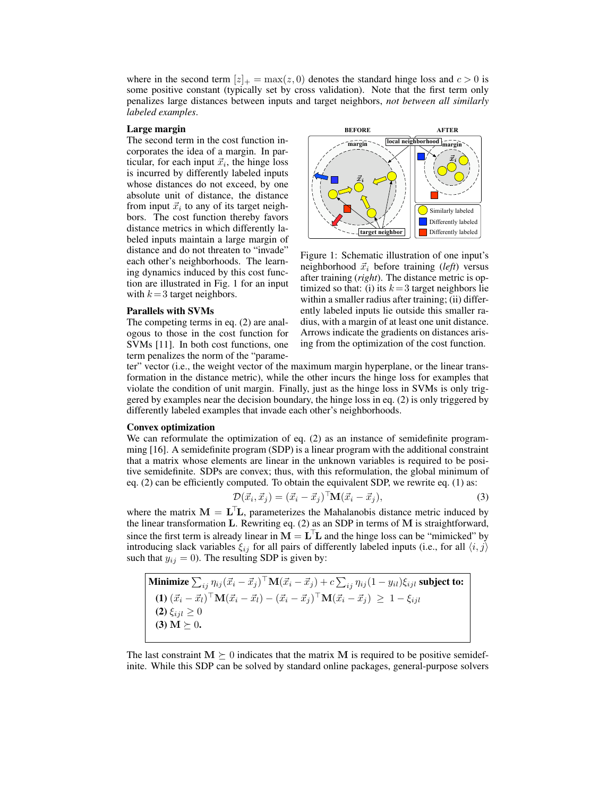where in the second term  $|z|_+ = \max(z, 0)$  denotes the standard hinge loss and  $c > 0$  is some positive constant (typically set by cross validation). Note that the first term only penalizes large distances between inputs and target neighbors, *not between all similarly labeled examples*.

#### Large margin

The second term in the cost function incorporates the idea of a margin. In particular, for each input  $\vec{x}_i$ , the hinge loss is incurred by differently labeled inputs whose distances do not exceed, by one absolute unit of distance, the distance from input  $\vec{x}_i$  to any of its target neighbors. The cost function thereby favors distance metrics in which differently labeled inputs maintain a large margin of distance and do not threaten to "invade" each other's neighborhoods. The learning dynamics induced by this cost function are illustrated in Fig. 1 for an input with  $k=3$  target neighbors.

#### Parallels with SVMs

The competing terms in eq. (2) are analogous to those in the cost function for SVMs [11]. In both cost functions, one term penalizes the norm of the "parame-



Figure 1: Schematic illustration of one input's neighborhood  $\vec{x}_i$  before training (*left*) versus after training (*right*). The distance metric is optimized so that: (i) its  $k=3$  target neighbors lie within a smaller radius after training; (ii) differently labeled inputs lie outside this smaller radius, with a margin of at least one unit distance. Arrows indicate the gradients on distances arising from the optimization of the cost function.

ter" vector (i.e., the weight vector of the maximum margin hyperplane, or the linear transformation in the distance metric), while the other incurs the hinge loss for examples that violate the condition of unit margin. Finally, just as the hinge loss in SVMs is only triggered by examples near the decision boundary, the hinge loss in eq. (2) is only triggered by differently labeled examples that invade each other's neighborhoods.

#### Convex optimization

We can reformulate the optimization of eq. (2) as an instance of semidefinite programming [16]. A semidefinite program (SDP) is a linear program with the additional constraint that a matrix whose elements are linear in the unknown variables is required to be positive semidefinite. SDPs are convex; thus, with this reformulation, the global minimum of eq. (2) can be efficiently computed. To obtain the equivalent SDP, we rewrite eq. (1) as:

$$
\mathcal{D}(\vec{x}_i, \vec{x}_j) = (\vec{x}_i - \vec{x}_j)^{\top} \mathbf{M}(\vec{x}_i - \vec{x}_j),
$$
\n(3)

where the matrix  $M = L^{T}L$ , parameterizes the Mahalanobis distance metric induced by the linear transformation L. Rewriting eq.  $(2)$  as an SDP in terms of M is straightforward, since the first term is already linear in  $M = L^{T}L$  and the hinge loss can be "mimicked" by introducing slack variables  $\xi_{ij}$  for all pairs of differently labeled inputs (i.e., for all  $\langle i, j \rangle$ such that  $y_{ij} = 0$ ). The resulting SDP is given by:

Minimize 
$$
\sum_{ij} \eta_{ij} (\vec{x}_i - \vec{x}_j)^{\top} \mathbf{M} (\vec{x}_i - \vec{x}_j) + c \sum_{ij} \eta_{ij} (1 - y_{il}) \xi_{ijl}
$$
 subject to:  
\n(1)  $(\vec{x}_i - \vec{x}_l)^{\top} \mathbf{M} (\vec{x}_i - \vec{x}_l) - (\vec{x}_i - \vec{x}_j)^{\top} \mathbf{M} (\vec{x}_i - \vec{x}_j) \ge 1 - \xi_{ijl}$   
\n(2)  $\xi_{ijl} \ge 0$   
\n(3)  $\mathbf{M} \succeq 0$ .

The last constraint  $M \succeq 0$  indicates that the matrix M is required to be positive semidefinite. While this SDP can be solved by standard online packages, general-purpose solvers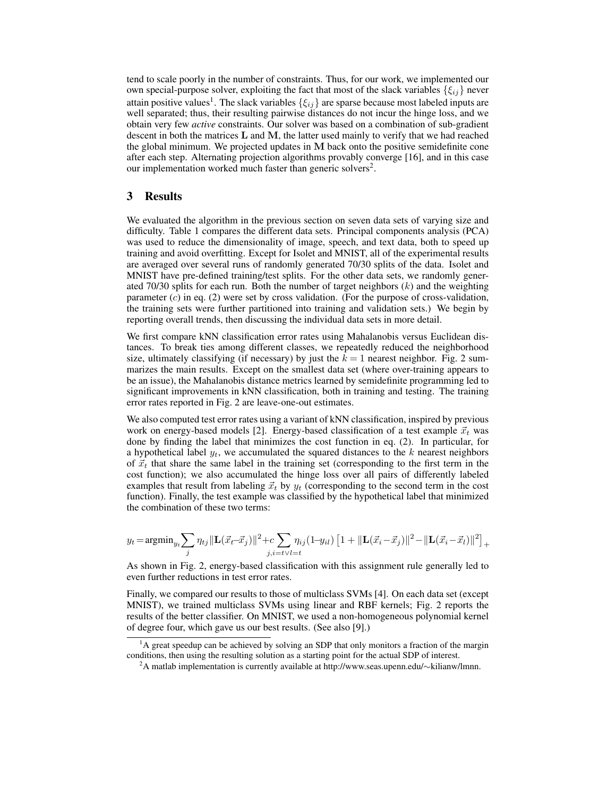tend to scale poorly in the number of constraints. Thus, for our work, we implemented our own special-purpose solver, exploiting the fact that most of the slack variables  $\{\xi_{ij}\}\$  never attain positive values<sup>1</sup>. The slack variables  $\{\xi_{ij}\}$  are sparse because most labeled inputs are well separated; thus, their resulting pairwise distances do not incur the hinge loss, and we obtain very few *active* constraints. Our solver was based on a combination of sub-gradient descent in both the matrices L and M, the latter used mainly to verify that we had reached the global minimum. We projected updates in M back onto the positive semidefinite cone after each step. Alternating projection algorithms provably converge [16], and in this case our implementation worked much faster than generic solvers<sup>2</sup>.

## 3 Results

We evaluated the algorithm in the previous section on seven data sets of varying size and difficulty. Table 1 compares the different data sets. Principal components analysis (PCA) was used to reduce the dimensionality of image, speech, and text data, both to speed up training and avoid overfitting. Except for Isolet and MNIST, all of the experimental results are averaged over several runs of randomly generated 70/30 splits of the data. Isolet and MNIST have pre-defined training/test splits. For the other data sets, we randomly generated 70/30 splits for each run. Both the number of target neighbors  $(k)$  and the weighting parameter  $(c)$  in eq. (2) were set by cross validation. (For the purpose of cross-validation, the training sets were further partitioned into training and validation sets.) We begin by reporting overall trends, then discussing the individual data sets in more detail.

We first compare kNN classification error rates using Mahalanobis versus Euclidean distances. To break ties among different classes, we repeatedly reduced the neighborhood size, ultimately classifying (if necessary) by just the  $k = 1$  nearest neighbor. Fig. 2 summarizes the main results. Except on the smallest data set (where over-training appears to be an issue), the Mahalanobis distance metrics learned by semidefinite programming led to significant improvements in kNN classification, both in training and testing. The training error rates reported in Fig. 2 are leave-one-out estimates.

We also computed test error rates using a variant of kNN classification, inspired by previous work on energy-based models [2]. Energy-based classification of a test example  $\vec{x}_t$  was done by finding the label that minimizes the cost function in eq. (2). In particular, for a hypothetical label  $y_t$ , we accumulated the squared distances to the  $k$  nearest neighbors of  $\vec{x}_t$  that share the same label in the training set (corresponding to the first term in the cost function); we also accumulated the hinge loss over all pairs of differently labeled examples that result from labeling  $\vec{x}_t$  by  $y_t$  (corresponding to the second term in the cost function). Finally, the test example was classified by the hypothetical label that minimized the combination of these two terms:

$$
y_t = \operatorname{argmin}_{y_t} \sum_j \eta_{tj} ||\mathbf{L}(\vec{x}_t - \vec{x}_j)||^2 + c \sum_{j,i=t} \eta_{ij} (1 - y_{il}) \left[1 + ||\mathbf{L}(\vec{x}_i - \vec{x}_j)||^2 - ||\mathbf{L}(\vec{x}_i - \vec{x}_l)||^2\right]_+
$$

As shown in Fig. 2, energy-based classification with this assignment rule generally led to even further reductions in test error rates.

Finally, we compared our results to those of multiclass SVMs [4]. On each data set (except MNIST), we trained multiclass SVMs using linear and RBF kernels; Fig. 2 reports the results of the better classifier. On MNIST, we used a non-homogeneous polynomial kernel of degree four, which gave us our best results. (See also [9].)

 $<sup>1</sup>A$  great speedup can be achieved by solving an SDP that only monitors a fraction of the margin</sup> conditions, then using the resulting solution as a starting point for the actual SDP of interest.

<sup>2</sup>A matlab implementation is currently available at http://www.seas.upenn.edu/∼kilianw/lmnn.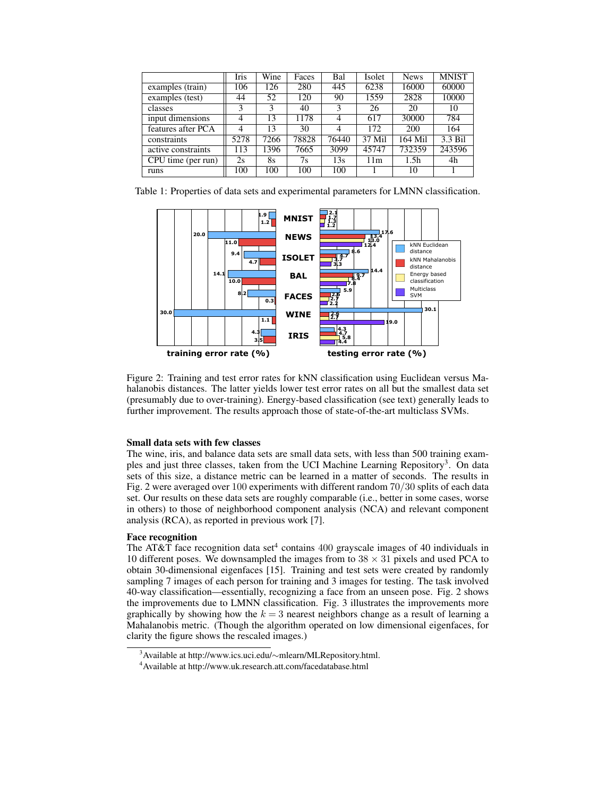|                    | Iris | Wine | Faces | Bal   | Isolet          | <b>News</b> | <b>MNIST</b> |
|--------------------|------|------|-------|-------|-----------------|-------------|--------------|
| examples (train)   | 106  | 126  | 280   | 445   | 6238            | 16000       | 60000        |
| examples (test)    | 44   | 52   | 120   | 90    | 1559            | 2828        | 10000        |
| classes            | 3    | 3    | 40    | 3     | 26              | 20          | 10           |
| input dimensions   | 4    | 13   | 1178  | 4     | 617             | 30000       | 784          |
| features after PCA | 4    | 13   | 30    | 4     | 172             | 200         | 164          |
| constraints        | 5278 | 7266 | 78828 | 76440 | 37 Mil          | 164 Mil     | 3.3 Bil      |
| active constraints | 113  | 1396 | 7665  | 3099  | 45747           | 732359      | 243596       |
| CPU time (per run) | 2s   | 8s   | 7s    | 13s   | 11 <sub>m</sub> | 1.5h        | 4h           |
| runs               | 100  | 100  | 100   | 100   |                 | 10          |              |

Table 1: Properties of data sets and experimental parameters for LMNN classification.



Figure 2: Training and test error rates for kNN classification using Euclidean versus Mahalanobis distances. The latter yields lower test error rates on all but the smallest data set (presumably due to over-training). Energy-based classification (see text) generally leads to further improvement. The results approach those of state-of-the-art multiclass SVMs.

#### Small data sets with few classes

The wine, iris, and balance data sets are small data sets, with less than 500 training examples and just three classes, taken from the UCI Machine Learning Repository<sup>3</sup>. On data sets of this size, a distance metric can be learned in a matter of seconds. The results in Fig. 2 were averaged over 100 experiments with different random 70/30 splits of each data set. Our results on these data sets are roughly comparable (i.e., better in some cases, worse in others) to those of neighborhood component analysis (NCA) and relevant component analysis (RCA), as reported in previous work [7].

## Face recognition

The AT&T face recognition data set<sup>4</sup> contains 400 grayscale images of 40 individuals in 10 different poses. We downsampled the images from to  $38 \times 31$  pixels and used PCA to obtain 30-dimensional eigenfaces [15]. Training and test sets were created by randomly sampling 7 images of each person for training and 3 images for testing. The task involved 40-way classification—essentially, recognizing a face from an unseen pose. Fig. 2 shows the improvements due to LMNN classification. Fig. 3 illustrates the improvements more graphically by showing how the  $k = 3$  nearest neighbors change as a result of learning a Mahalanobis metric. (Though the algorithm operated on low dimensional eigenfaces, for clarity the figure shows the rescaled images.)

<sup>3</sup>Available at http://www.ics.uci.edu/∼mlearn/MLRepository.html.

<sup>4</sup>Available at http://www.uk.research.att.com/facedatabase.html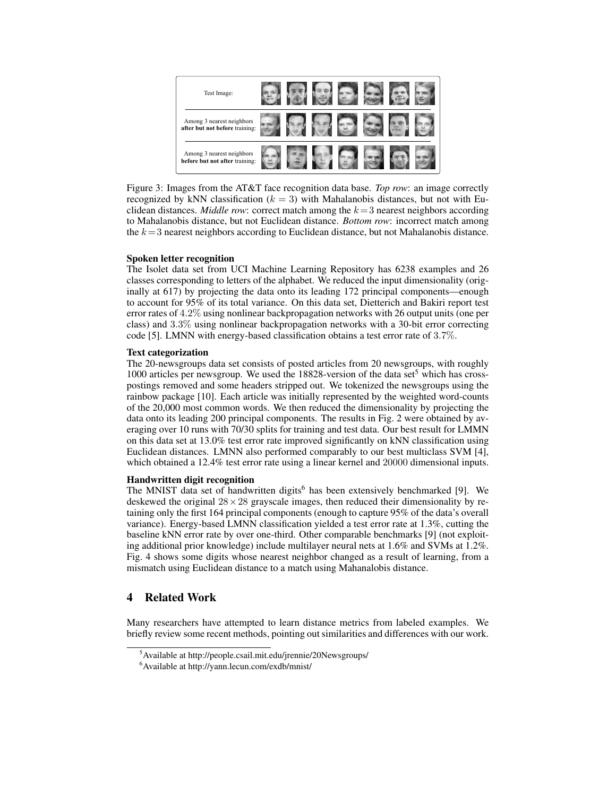| Test Image:                                                 |  |  |  |  |
|-------------------------------------------------------------|--|--|--|--|
| Among 3 nearest neighbors<br>after but not before training: |  |  |  |  |
| Among 3 nearest neighbors<br>before but not after training: |  |  |  |  |

Figure 3: Images from the AT&T face recognition data base. *Top row*: an image correctly recognized by kNN classification ( $k = 3$ ) with Mahalanobis distances, but not with Euclidean distances. *Middle row*: correct match among the  $k=3$  nearest neighbors according to Mahalanobis distance, but not Euclidean distance. *Bottom row*: incorrect match among the  $k=3$  nearest neighbors according to Euclidean distance, but not Mahalanobis distance.

#### Spoken letter recognition

The Isolet data set from UCI Machine Learning Repository has 6238 examples and 26 classes corresponding to letters of the alphabet. We reduced the input dimensionality (originally at 617) by projecting the data onto its leading 172 principal components—enough to account for 95% of its total variance. On this data set, Dietterich and Bakiri report test error rates of 4.2% using nonlinear backpropagation networks with 26 output units (one per class) and 3.3% using nonlinear backpropagation networks with a 30-bit error correcting code [5]. LMNN with energy-based classification obtains a test error rate of 3.7%.

### Text categorization

The 20-newsgroups data set consists of posted articles from 20 newsgroups, with roughly 1000 articles per newsgroup. We used the  $18828$ -version of the data set<sup>5</sup> which has crosspostings removed and some headers stripped out. We tokenized the newsgroups using the rainbow package [10]. Each article was initially represented by the weighted word-counts of the 20,000 most common words. We then reduced the dimensionality by projecting the data onto its leading 200 principal components. The results in Fig. 2 were obtained by averaging over 10 runs with 70/30 splits for training and test data. Our best result for LMMN on this data set at 13.0% test error rate improved significantly on kNN classification using Euclidean distances. LMNN also performed comparably to our best multiclass SVM [4], which obtained a 12.4% test error rate using a linear kernel and 20000 dimensional inputs.

### Handwritten digit recognition

The MNIST data set of handwritten digits<sup>6</sup> has been extensively benchmarked [9]. We deskewed the original  $28 \times 28$  grayscale images, then reduced their dimensionality by retaining only the first 164 principal components (enough to capture 95% of the data's overall variance). Energy-based LMNN classification yielded a test error rate at 1.3%, cutting the baseline kNN error rate by over one-third. Other comparable benchmarks [9] (not exploiting additional prior knowledge) include multilayer neural nets at 1.6% and SVMs at 1.2%. Fig. 4 shows some digits whose nearest neighbor changed as a result of learning, from a mismatch using Euclidean distance to a match using Mahanalobis distance.

## 4 Related Work

Many researchers have attempted to learn distance metrics from labeled examples. We briefly review some recent methods, pointing out similarities and differences with our work.

<sup>5</sup>Available at http://people.csail.mit.edu/jrennie/20Newsgroups/

<sup>6</sup>Available at http://yann.lecun.com/exdb/mnist/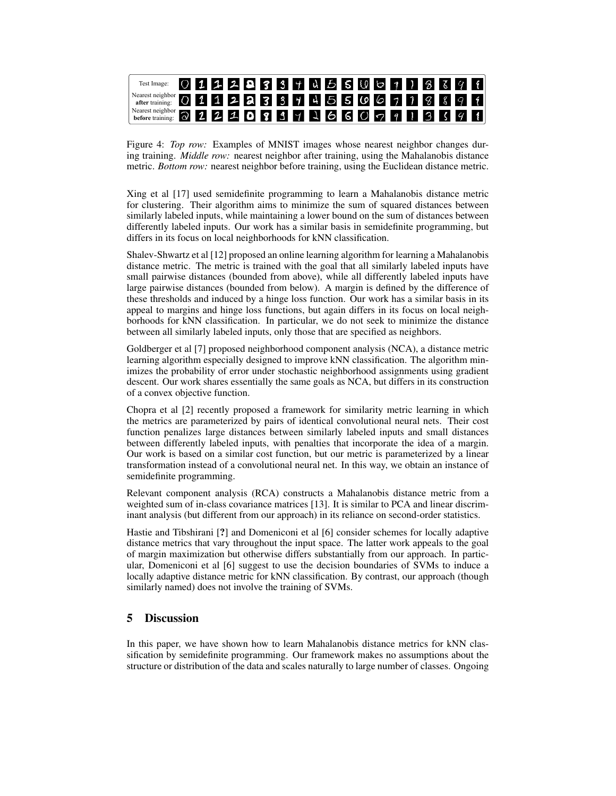| Test Image:                                            |  |  |  |  |  |  |  |  | 0 1 2 2 3 3 4 4 5 5 0 5 7 1 8 3 9 1 |  |
|--------------------------------------------------------|--|--|--|--|--|--|--|--|-------------------------------------|--|
| Nearest neighbor 0 1 1 2 2 3 3 4 4 5 5 0 6 7 1 8 8 9 1 |  |  |  |  |  |  |  |  |                                     |  |
| Nearest neighbor 22210334106607113591                  |  |  |  |  |  |  |  |  |                                     |  |

Figure 4: *Top row:* Examples of MNIST images whose nearest neighbor changes during training. *Middle row:* nearest neighbor after training, using the Mahalanobis distance metric. *Bottom row:* nearest neighbor before training, using the Euclidean distance metric.

Xing et al [17] used semidefinite programming to learn a Mahalanobis distance metric for clustering. Their algorithm aims to minimize the sum of squared distances between similarly labeled inputs, while maintaining a lower bound on the sum of distances between differently labeled inputs. Our work has a similar basis in semidefinite programming, but differs in its focus on local neighborhoods for kNN classification.

Shalev-Shwartz et al [12] proposed an online learning algorithm for learning a Mahalanobis distance metric. The metric is trained with the goal that all similarly labeled inputs have small pairwise distances (bounded from above), while all differently labeled inputs have large pairwise distances (bounded from below). A margin is defined by the difference of these thresholds and induced by a hinge loss function. Our work has a similar basis in its appeal to margins and hinge loss functions, but again differs in its focus on local neighborhoods for kNN classification. In particular, we do not seek to minimize the distance between all similarly labeled inputs, only those that are specified as neighbors.

Goldberger et al [7] proposed neighborhood component analysis (NCA), a distance metric learning algorithm especially designed to improve kNN classification. The algorithm minimizes the probability of error under stochastic neighborhood assignments using gradient descent. Our work shares essentially the same goals as NCA, but differs in its construction of a convex objective function.

Chopra et al [2] recently proposed a framework for similarity metric learning in which the metrics are parameterized by pairs of identical convolutional neural nets. Their cost function penalizes large distances between similarly labeled inputs and small distances between differently labeled inputs, with penalties that incorporate the idea of a margin. Our work is based on a similar cost function, but our metric is parameterized by a linear transformation instead of a convolutional neural net. In this way, we obtain an instance of semidefinite programming.

Relevant component analysis (RCA) constructs a Mahalanobis distance metric from a weighted sum of in-class covariance matrices [13]. It is similar to PCA and linear discriminant analysis (but different from our approach) in its reliance on second-order statistics.

Hastie and Tibshirani [?] and Domeniconi et al [6] consider schemes for locally adaptive distance metrics that vary throughout the input space. The latter work appeals to the goal of margin maximization but otherwise differs substantially from our approach. In particular, Domeniconi et al [6] suggest to use the decision boundaries of SVMs to induce a locally adaptive distance metric for kNN classification. By contrast, our approach (though similarly named) does not involve the training of SVMs.

# 5 Discussion

In this paper, we have shown how to learn Mahalanobis distance metrics for kNN classification by semidefinite programming. Our framework makes no assumptions about the structure or distribution of the data and scales naturally to large number of classes. Ongoing